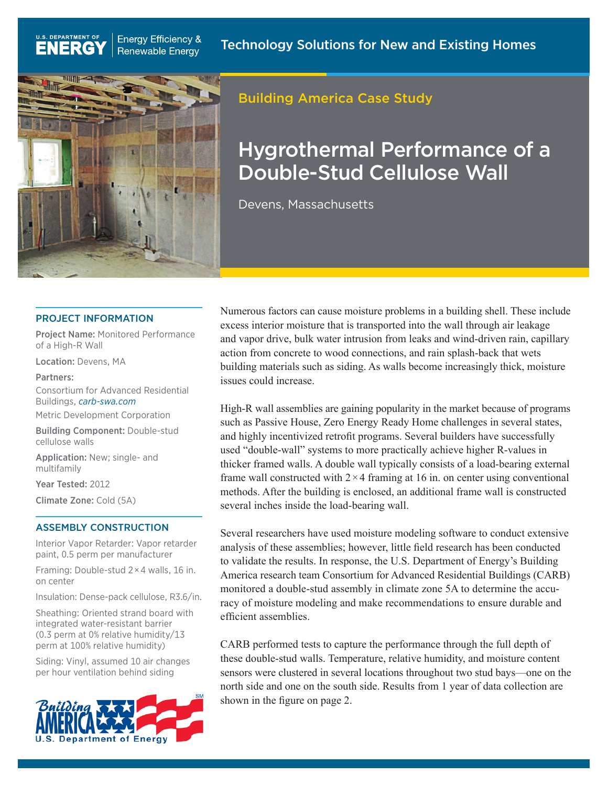

**Energy Efficiency &** 

**Renewable Energy** 

## Building America Case Study

# Hygrothermal Performance of a Double-Stud Cellulose Wall

Devens, Massachusetts

#### PROJECT INFORMATION

Project Name: Monitored Performance of a High-R Wall

Location: Devens, MA

U.S. DEPARTMENT OF

**ENERG** 

#### Partners:

Consortium for Advanced Residential Buildings, *[carb-swa.com](http://www.carb-swa.com)*

Metric Development Corporation

Building Component: Double-stud cellulose walls

Application: New; single- and multifamily

Year Tested: 2012

Climate Zone: Cold (5A)

#### ASSEMBLY CONSTRUCTION

Interior Vapor Retarder: Vapor retarder paint, 0.5 perm per manufacturer

Framing: Double-stud 2 × 4 walls, 16 in. on center

Insulation: Dense-pack cellulose, R3.6/in.

Sheathing: Oriented strand board with integrated water-resistant barrier (0.3 perm at 0% relative humidity/13 perm at 100% relative humidity)

Siding: Vinyl, assumed 10 air changes per hour ventilation behind siding



Numerous factors can cause moisture problems in a building shell. These include excess interior moisture that is transported into the wall through air leakage and vapor drive, bulk water intrusion from leaks and wind-driven rain, capillary action from concrete to wood connections, and rain splash-back that wets building materials such as siding. As walls become increasingly thick, moisture issues could increase.

High-R wall assemblies are gaining popularity in the market because of programs such as Passive House, Zero Energy Ready Home challenges in several states, and highly incentivized retrofit programs. Several builders have successfully used "double-wall" systems to more practically achieve higher R-values in thicker framed walls. A double wall typically consists of a load-bearing external frame wall constructed with  $2 \times 4$  framing at 16 in. on center using conventional methods. After the building is enclosed, an additional frame wall is constructed several inches inside the load-bearing wall.

Several researchers have used moisture modeling software to conduct extensive analysis of these assemblies; however, little field research has been conducted to validate the results. In response, the U.S. Department of Energy's Building America research team Consortium for Advanced Residential Buildings (CARB) monitored a double-stud assembly in climate zone 5A to determine the accuracy of moisture modeling and make recommendations to ensure durable and efficient assemblies.

CARB performed tests to capture the performance through the full depth of these double-stud walls. Temperature, relative humidity, and moisture content sensors were clustered in several locations throughout two stud bays—one on the north side and one on the south side. Results from 1 year of data collection are shown in the figure on page 2.